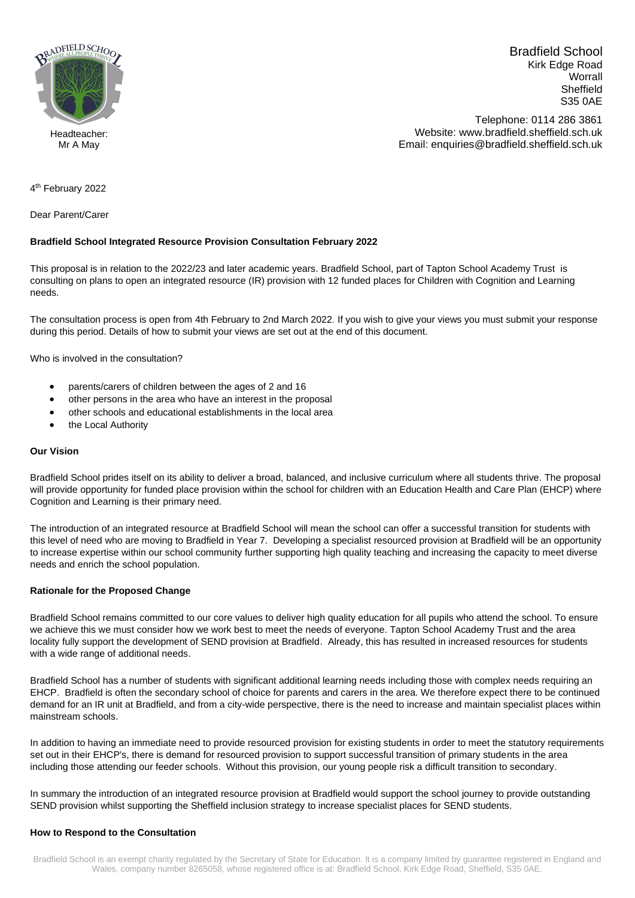

Bradfield School Kirk Edge Road **Worrall** Sheffield S35 0AE

Telephone: 0114 286 3861 Website: www.bradfield.sheffield.sch.uk Email: enquiries@bradfield.sheffield.sch.uk

Mr A May

4<sup>th</sup> February 2022

Dear Parent/Carer

# **Bradfield School Integrated Resource Provision Consultation February 2022**

This proposal is in relation to the 2022/23 and later academic years. Bradfield School, part of Tapton School Academy Trust is consulting on plans to open an integrated resource (IR) provision with 12 funded places for Children with Cognition and Learning needs.

The consultation process is open from 4th February to 2nd March 2022. If you wish to give your views you must submit your response during this period. Details of how to submit your views are set out at the end of this document.

Who is involved in the consultation?

- parents/carers of children between the ages of 2 and 16
- other persons in the area who have an interest in the proposal
- other schools and educational establishments in the local area
- the Local Authority

# **Our Vision**

Bradfield School prides itself on its ability to deliver a broad, balanced, and inclusive curriculum where all students thrive. The proposal will provide opportunity for funded place provision within the school for children with an Education Health and Care Plan (EHCP) where Cognition and Learning is their primary need.

The introduction of an integrated resource at Bradfield School will mean the school can offer a successful transition for students with this level of need who are moving to Bradfield in Year 7. Developing a specialist resourced provision at Bradfield will be an opportunity to increase expertise within our school community further supporting high quality teaching and increasing the capacity to meet diverse needs and enrich the school population.

# **Rationale for the Proposed Change**

Bradfield School remains committed to our core values to deliver high quality education for all pupils who attend the school. To ensure we achieve this we must consider how we work best to meet the needs of everyone. Tapton School Academy Trust and the area locality fully support the development of SEND provision at Bradfield. Already, this has resulted in increased resources for students with a wide range of additional needs.

Bradfield School has a number of students with significant additional learning needs including those with complex needs requiring an EHCP. Bradfield is often the secondary school of choice for parents and carers in the area. We therefore expect there to be continued demand for an IR unit at Bradfield, and from a city-wide perspective, there is the need to increase and maintain specialist places within mainstream schools.

In addition to having an immediate need to provide resourced provision for existing students in order to meet the statutory requirements set out in their EHCP's, there is demand for resourced provision to support successful transition of primary students in the area including those attending our feeder schools. Without this provision, our young people risk a difficult transition to secondary.

In summary the introduction of an integrated resource provision at Bradfield would support the school journey to provide outstanding SEND provision whilst supporting the Sheffield inclusion strategy to increase specialist places for SEND students.

# **How to Respond to the Consultation**